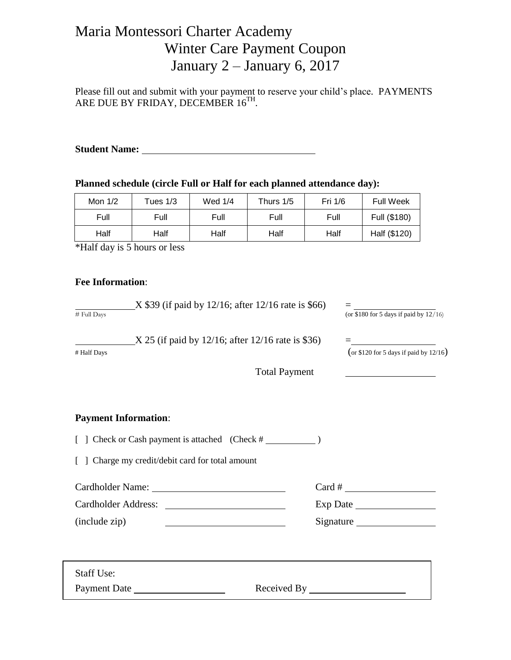# Maria Montessori Charter Academy Winter Care Payment Coupon January 2 – January 6, 2017

Please fill out and submit with your payment to reserve your child's place. PAYMENTS ARE DUE BY FRIDAY, DECEMBER 16TH.

**Student Name:** 

**Planned schedule (circle Full or Half for each planned attendance day):**

| Mon $1/2$ | Tues 1/3 | Wed $1/4$ | Thurs 1/5 | Fri 1/6 | <b>Full Week</b> |
|-----------|----------|-----------|-----------|---------|------------------|
| Full      | Full     | Full      | Full      | Full    | Full (\$180)     |
| Half      | Half     | Half      | Half      | Half    | Half (\$120)     |

\*Half day is 5 hours or less

### **Fee Information**:

| # Full Days                                      | $X$ \$39 (if paid by 12/16; after 12/16 rate is \$66)       |                                                                 |  |
|--------------------------------------------------|-------------------------------------------------------------|-----------------------------------------------------------------|--|
| # Half Days                                      | $\text{X } 25$ (if paid by 12/16; after 12/16 rate is \$36) |                                                                 |  |
|                                                  | <b>Total Payment</b>                                        | <u> 1989 - Johann Barn, mars an t-Amerikaansk kommunister (</u> |  |
| <b>Payment Information:</b>                      |                                                             |                                                                 |  |
|                                                  |                                                             |                                                                 |  |
| [ ] Charge my credit/debit card for total amount |                                                             |                                                                 |  |
|                                                  |                                                             | $Card # \_$                                                     |  |
|                                                  |                                                             |                                                                 |  |
| (include zip)                                    |                                                             | Signature                                                       |  |
|                                                  |                                                             |                                                                 |  |
| <b>Staff Use:</b>                                |                                                             |                                                                 |  |
|                                                  |                                                             |                                                                 |  |